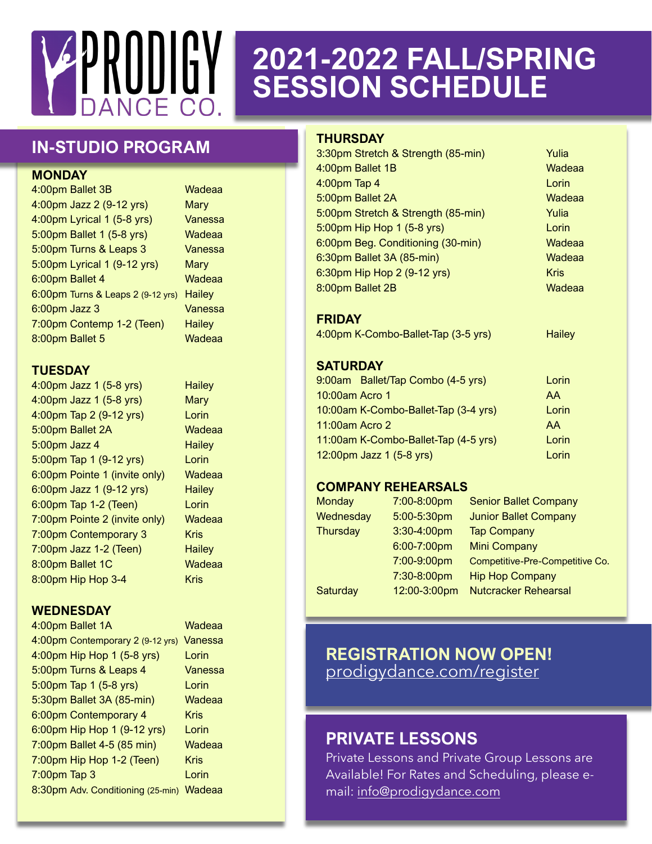# **VEPRODIGY DANCE CO**

## **2021-2022 FALL/SPRING SESSION SCHEDULE**

#### **IN-STUDIO PROGRAM**

#### **MONDAY**

| 4:00pm Ballet 3B                  |  |
|-----------------------------------|--|
| 4:00pm Jazz 2 (9-12 yrs)          |  |
| 4:00pm Lyrical 1 (5-8 yrs)        |  |
| 5:00pm Ballet 1 (5-8 yrs)         |  |
| 5:00pm Turns & Leaps 3            |  |
| 5:00pm Lyrical 1 (9-12 yrs)       |  |
| 6:00pm Ballet 4                   |  |
| 6:00pm Turns & Leaps 2 (9-12 yrs) |  |
| 6:00pm Jazz 3                     |  |
| 7:00pm Contemp 1-2 (Teen)         |  |
| 8:00pm Ballet 5                   |  |
|                                   |  |

#### **TUESDAY**

4:00pm Jazz 1 (5-8 yrs) Hailey 4:00pm Jazz 1 (5-8 yrs) Mary 4:00pm Tap 2 (9-12 yrs) Lorin 5:00pm Ballet 2A Wadeaa 5:00pm Jazz 4 Hailey 5:00pm Tap 1 (9-12 yrs) Lorin 6:00pm Pointe 1 (invite only) Wadeaa 6:00pm Jazz 1 (9-12 yrs) Hailey 6:00pm Tap 1-2 (Teen) Lorin 7:00pm Pointe 2 (invite only) Wadeaa 7:00pm Contemporary 3 Kris 7:00pm Jazz 1-2 (Teen) Hailey 8:00pm Ballet 1C Wadeaa 8:00pm Hip Hop 3-4 Kris

#### **WEDNESDAY**

| 4:00pm Ballet 1A                  | Wadeaa      |
|-----------------------------------|-------------|
| 4:00pm Contemporary 2 (9-12 yrs)  | Vanessa     |
| 4:00pm Hip Hop 1 (5-8 yrs)        | Lorin       |
| 5:00pm Turns & Leaps 4            | Vanessa     |
| 5:00pm Tap 1 (5-8 yrs)            | Lorin       |
| 5:30pm Ballet 3A (85-min)         | Wadeaa      |
| 6:00pm Contemporary 4             | Kris        |
| 6:00pm Hip Hop 1 (9-12 yrs)       | Lorin       |
| 7:00pm Ballet 4-5 (85 min)        | Wadeaa      |
| 7:00pm Hip Hop 1-2 (Teen)         | <b>Kris</b> |
| 7:00pm Tap 3                      | Lorin       |
| 8:30pm Adv. Conditioning (25-min) | Wadeaa      |
|                                   |             |

Wadeaa Mary Vanessa Wadeaa Vanessa Mary Wadeaa **Hailey** Vanessa **Hailey** 

## Wadeaa

#### **THURSDAY**

| 3:30pm Stretch & Strength (85-min) | Yulia       |
|------------------------------------|-------------|
| 4:00pm Ballet 1B                   | Wadeaa      |
| 4:00pm Tap 4                       | Lorin       |
| 5:00pm Ballet 2A                   | Wadeaa      |
| 5:00pm Stretch & Strength (85-min) | Yulia       |
| 5:00pm Hip Hop 1 (5-8 yrs)         | Lorin       |
| 6:00pm Beg. Conditioning (30-min)  | Wadeaa      |
| 6:30pm Ballet 3A (85-min)          | Wadeaa      |
| 6:30pm Hip Hop 2 (9-12 yrs)        | <b>Kris</b> |
| 8:00pm Ballet 2B                   | Wadeaa      |

#### **FRIDAY**

4:00pm K-Combo-Ballet-Tap (3-5 yrs) Hailey

#### **SATURDAY**

|                | 9:00am Ballet/Tap Combo (4-5 yrs)    | Lorin |
|----------------|--------------------------------------|-------|
| 10:00am Acro 1 |                                      | AA    |
|                | 10:00am K-Combo-Ballet-Tap (3-4 yrs) | Lorin |
| 11:00am Acro 2 |                                      | AA    |
|                | 11:00am K-Combo-Ballet-Tap (4-5 yrs) | Lorin |
|                | 12:00pm Jazz 1 (5-8 yrs)             | Lorin |

#### **COMPANY REHEARSALS**

| <b>Monday</b>   | 7:00-8:00pm  | <b>Senior Ballet Company</b>    |
|-----------------|--------------|---------------------------------|
| Wednesday       | 5:00-5:30pm  | <b>Junior Ballet Company</b>    |
| <b>Thursday</b> | 3:30-4:00pm  | <b>Tap Company</b>              |
|                 | 6:00-7:00pm  | <b>Mini Company</b>             |
|                 | 7:00-9:00pm  | Competitive-Pre-Competitive Co. |
|                 | 7:30-8:00pm  | <b>Hip Hop Company</b>          |
| Saturday        | 12:00-3:00pm | <b>Nutcracker Rehearsal</b>     |
|                 |              |                                 |

#### **REGISTRATION NOW OPEN!** [prodigydance.com/register](http://prodigydance.com/register)

#### **PRIVATE LESSONS**

Private Lessons and Private Group Lessons are Available! For Rates and Scheduling, please email: [info@prodigydance.com](mailto:info@prodigydance.com)